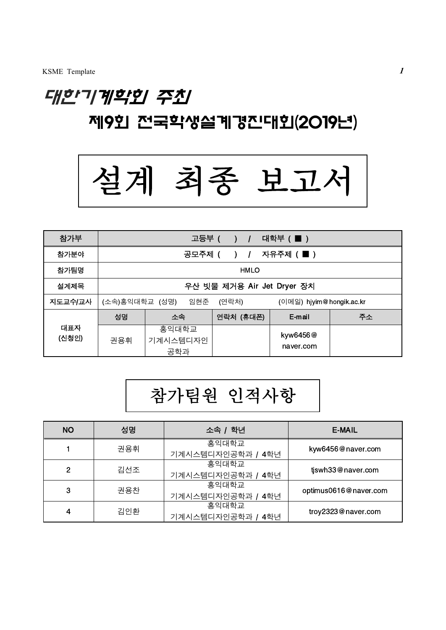## 대한기계학회 주최 제9회 전국학생설계경진대회(2019년)



| 참가부          |                                                            |                          | 고등부 ( ) / | <b>대학부 ( ■ )</b>      |    |
|--------------|------------------------------------------------------------|--------------------------|-----------|-----------------------|----|
| 참가분야         | 공모주제 (<br>자유주제 ( ■ )<br>$\rightarrow$ 1                    |                          |           |                       |    |
| 참가팀명         | <b>HMLO</b>                                                |                          |           |                       |    |
| 설계제목         | 우산 빗물 제거용 Air Jet Dryer 장치                                 |                          |           |                       |    |
| 지도교수/교사      | (소속)홍익대학교 (성명)<br>임현준<br>(연락처)<br>(이메일) hjyim@hongik.ac.kr |                          |           |                       |    |
|              | 성명                                                         | 소속                       | 연락처 (휴대폰) | E-mail                | 주소 |
| 대표자<br>(신청인) | 권용휘                                                        | 홍익대학교<br>기계시스템디자인<br>공학과 |           | kyw6456@<br>naver.com |    |

## 참가팀원 인적사항

| <b>NO</b> | 성명  | 소속 / 학년              | E-MAIL                |  |
|-----------|-----|----------------------|-----------------------|--|
|           | 권용휘 | 홍익대학교                | kyw6456@naver.com     |  |
|           |     | 기계시스템디자인공학과 / 4학년    |                       |  |
| 2         | 김선조 | 홍익대학교                | tjswh33@naver.com     |  |
|           |     | 기계시스템디자인공학과 / 4학년    |                       |  |
| 3         | 권용찬 | 홍익대학교                |                       |  |
|           |     | 기계시스템디자인공학과 / 4학년    | optimus0616@naver.com |  |
| 4         | 김인환 | 홍익대학교                | troy2323@naver.com    |  |
|           |     | 기계시스템디자인공학과 /<br>4학년 |                       |  |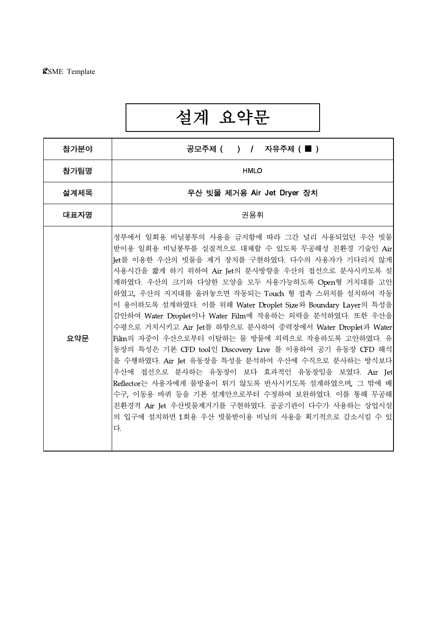# 설계 요약문

| 참가분야 |
|------|
| 참가팀명 |
| 설계제목 |
| 대표자명 |
| 요약문  |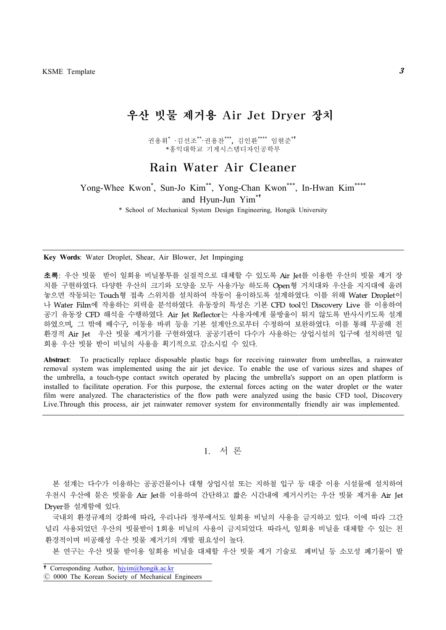## 우산 빗물 제거용 Air Jet Dryer 장치

권용휘\* ·김선조\*\*·권용찬\*\*\*, 김인환\*\*\*\* 임현준\*† \*홍익대학교 기계시스템디자인공학부

## Rain Water Air Cleaner

Yong-Whee Kwon<sup>\*</sup>, Sun-Jo Kim<sup>\*\*</sup>, Yong-Chan Kwon<sup>\*\*\*</sup>, In-Hwan Kim<sup>\*\*\*\*</sup> and Hyun-Jun Yim\*†

\* School of Mechanical System Design Engineering, Hongik University

**Key Words**: Water Droplet, Shear, Air Blower, Jet Impinging

초록: 우산 빗물 받이 일회용 비닐봉투를 실질적으로 대체할 수 있도록 Air Jet를 이용한 우산의 빗물 제거 장 치를 구현하였다. 다양한 우산의 크기와 모양을 모두 사용가능 하도록 Open형 거치대와 우산을 지지대에 올려 놓으면 작동되는 Touch형 접촉 스위치를 설치하여 작동이 용이하도록 설계하였다. 이를 위해 Water Droplet이 나 Water Film에 작용하는 외력을 분석하였다. 유동장의 특성은 기본 CFD tool인 Discovery Live 를 이용하여 공기 유동장 CFD 해석을 수행하였다. Air Jet Reflector는 사용자에게 물방울이 튀지 않도록 반사시키도록 설계 하였으며, 그 밖에 배수구, 이동용 바퀴 등을 기본 설계안으로부터 수정하여 보완하였다. 이를 통해 무공해 친 환경적 Air Jet 우산 빗물 제거기를 구현하였다. 공공기관이 다수가 사용하는 상업시설의 입구에 설치하면 일 회용 우산 빗물 받이 비닐의 사용을 획기적으로 감소시킬 수 있다.

**Abstract**: To practically replace disposable plastic bags for receiving rainwater from umbrellas, a rainwater removal system was implemented using the air jet device. To enable the use of various sizes and shapes of the umbrella, a touch-type contact switch operated by placing the umbrella's support on an open platform is installed to facilitate operation. For this purpose, the external forces acting on the water droplet or the water film were analyzed. The characteristics of the flow path were analyzed using the basic CFD tool, Discovery Live.Through this process, air jet rainwater remover system for environmentally friendly air was implemented.

1. 서 론

본 설계는 다수가 이용하는 공공건물이나 대형 상업시설 또는 지하철 입구 등 대중 이용 시설물에 설치하여 우천시 우산에 묻은 빗물을 Air Jet를 이용하여 간단하고 짧은 시간내에 제거시키는 우산 빗물 제거용 Air Jet Dryer를 설계함에 있다.

국내외 환경규제의 강화에 따라, 우리나라 정부에서도 일회용 비닐의 사용을 금지하고 있다. 이에 따라 그간 널리 사용되었던 우산의 빗물받이 1회용 비닐의 사용이 금지되었다. 따라서, 일회용 비닐을 대체할 수 있는 친 환경적이며 비공해성 우산 빗물 제거기의 개발 필요성이 높다.

본 연구는 우산 빗물 받이용 일회용 비닐을 대체할 우산 빗물 제거 기술로 폐비닐 등 소모성 폐기물이 발

<sup>†</sup>Corresponding Author, [hjyim@hongik.ac.kr](mailto:hjyim@hongik.ac.kr)

<sup>Ⓒ</sup> 0000 The Korean Society of Mechanical Engineers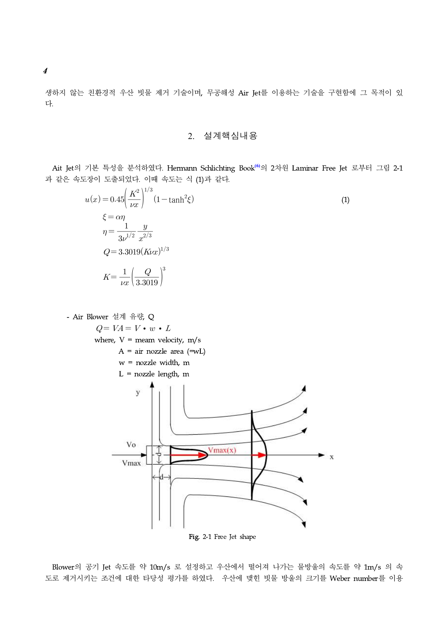생하지 않는 친환경적 우산 빗물 제거 기술이며, 무공해성 Air Jet를 이용하는 기술을 구현함에 그 목적이 있 다.

2. 설계핵심내용

Ait Jet의 기본 특성을 분석하였다. Hermann Schlichting Book**(6)**의 2차원 Laminar Free Jet 로부터 그림 2-1 과 같은 속도장이 도출되었다. 이때 속도는 식 (1)과 같다.

$$
u(x) = 0.45 \left(\frac{K^2}{\nu x}\right)^{1/3} (1 - \tanh^2 \xi)
$$
  
\n
$$
\xi = \alpha \eta
$$
  
\n
$$
\eta = \frac{1}{3\nu^{1/2}} \frac{y}{x^{2/3}}
$$
  
\n
$$
Q = 3.3019 (K\nu x)^{1/3}
$$
  
\n
$$
K = \frac{1}{\nu x} \left(\frac{Q}{3.3019}\right)^3
$$
 (1)

- Air Blower 설계 유량, Q  $Q = VA = V \cdot w \cdot L$ where,  $V =$  meam velocity,  $m/s$  $A = air$  nozzle area (=wL) w = nozzle width, m  $L =$  nozzle length, m  $\overline{V}$ Vo  $Vmax(x)$  $\boldsymbol{\mathrm{X}}$ Vmax Fig. 2-1 Free Jet shape

Blower의 공기 Jet 속도를 약 10m/s 로 설정하고 우산에서 떨어져 나가는 물방울의 속도를 약 1m/s 의 속 도로 제거시키는 조건에 대한 타당성 평가를 하였다. 우산에 맺힌 빗물 방울의 크기를 Weber number를 이용

4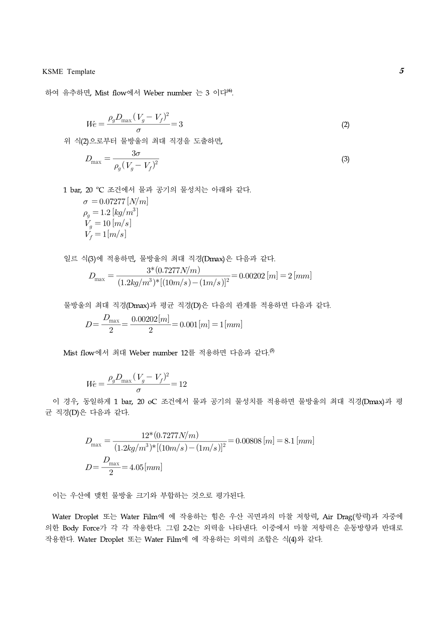### KSME Template  $5$

하여 유추하면, Mist flow에서 Weber number 는 3 이다**(6)**.

late

\n면, Mist flow에서 Weber number 
$$
\geq 3
$$
 이다<sup>(6)</sup>.

\n
$$
We = \frac{\rho_g D_{\text{max}} (V_g - V_f)^2}{\sigma} = 3
$$
\n2)으로부터 뭘방을의 최대 지경을 도출하면,

위 식(2)으로부터 물방울의 최대 직경을 도출하면,

면, Mist flow에서 Weber number 
$$
\frac{1}{C} = 3
$$
 이다<sup>16</sup>.  
\n
$$
W_e = \frac{\rho_g D_{\text{max}} (V_g - V_f)^2}{\sigma} = 3
$$
\n(2)  
\n2)  $\circ$ 로부터 뭜방을의 �{과ភ{37  
\n
$$
D_{\text{max}} = \frac{3\sigma}{\rho_g (V_g - V_f)^2}
$$
\n(3)  
\n20 °C 조건에서 뭒과 공기의 뭜성치는 아래와 간다.  
\n $\sigma = 0.07277 [N/m]$   
\n $\rho_g = 1.2 [kg/m^3]$   
\n $V_g = 10 [m/s]$   
\n $V_f = 1 [m/s]$   
\n4(3)에 죍용하면, 큨방을의 �{해대 치정(Dmax)은 다음과 간다.  
\n
$$
D_{\text{max}} = \frac{3*(0.7277N/m)}{(1.2 kg/m^3) * [(10m/s) - (1m/s)]^2} = 0.00202 [m] = 2 [mm]
$$
\n-의 �{14 레ি�경(Dmax)과 평군 지경(D)은 다음의 관계를 정용하여 다음과 간다.  
\n
$$
D = \frac{D_{\text{max}}}{2} = \frac{0.00202 [m]}{0.00202 [m]} = 0.001 [m] = 1 [mm]
$$

1 bar, 20 ℃ 조건에서 물과 공기의 물성치는 아래와 같다.

$$
\sigma = 0.07277 [N/m] \n\rho_g = 1.2 [kg/m^3] \nV_g = 10 [m/s] \nV_f = 1 [m/s]
$$

일르 식(3)에 적용하면, 물방울의 최대 직경(Dmax)은 다음과 같다.

$$
D_{\text{max}} = \frac{3^*(0.7277N/m)}{(1.2kg/m^3)^*[(10m/s) - (1m/s)]^2} = 0.00202 [m] = 2 [mm]
$$
  
을의 최대 지경(Dmax)과 평군 지경(D)은 다른의 관계를 정용하면 다음과 같은.  

$$
D = \frac{D_{\text{max}}}{2} = \frac{0.00202 [m]}{2} = 0.001 [m] = 1 [mm]
$$

물방을의 최대 지경(Dmax)과 평군 지경(D)은 다음의 관계를 적용하면 다음과 갈다.  
\n
$$
D = \frac{D_{\text{max}}}{2} = \frac{0.00202[m]}{2} = 0.001[m] = 1[mm]
$$

Mist flow에서 최대 Weber number 12를 적용하면 다음과 같다.<sup>⑤</sup>

의 최대 김경(Dmax)과 평군 지경  
\n
$$
D = \frac{D_{\text{max}}}{2} = \frac{0.00202[m]}{2} = 0.0
$$
\now에서 최대 Weber number 12-  
\n
$$
We = \frac{\rho_g D_{\text{max}} (V_g - V_f)^2}{\sigma} = 12
$$
\n\ng일하지 1 bar, 20 oC 조건에서 - 다을과 간다

이 경우, 동일하게 1 bar, 20 oC 조건에서 물과 공기의 물성치를 적용하면 물방울의 최대 직경(Dmax)과 평 균 직경(D)은 다음과 같다.

$$
D_{\text{max}} = \frac{3*(0.7277N/m)}{(1.2kg/m^3)*[(10m/s) - (1m/s)]^2} = 0.00202 [m] = 2 [mm]
$$
  
\n
$$
\therefore \text{9 } \exists \text{H} \exists \text{7} \exists (\text{Dmax}) \exists \text{H} \exists \text{7} \exists \text{8} \text{C}) \oplus \text{H} \exists \text{9} \exists \text{7} \exists \text{8} \exists \text{7} \exists \text{8} \text{C}) \oplus \text{H} \exists \text{9} \exists \text{9} \exists \text{1} \exists \text{1} \exists \text{1} \exists \text{1} \exists \text{1} \exists \text{1} \exists \text{1} \exists \text{1} \exists \text{1} \exists \text{1} \exists \text{1} \exists \text{1} \exists \text{1} \exists \text{1} \exists \text{1} \exists \text{1} \exists \text{1} \exists \text{1} \exists \text{1} \exists \text{1} \exists \text{1} \exists \text{1} \exists \text{1} \exists \text{1} \exists \text{1} \exists \text{1} \exists \text{1} \exists \text{1} \exists \text{1} \exists \text{1} \exists \text{1} \exists \text{1} \exists \text{1} \exists \text{1} \exists \text{1} \exists \text{1} \exists \text{1} \exists \text{1} \exists \text{1} \exists \text{1} \exists \text{1} \exists \text{1} \exists \text{1} \exists \text{1} \exists \text{1} \exists \text{1} \exists \text{1} \exists \text{1} \exists \text{1} \exists \text{1} \exists \text{1} \exists \text{1} \exists \text{1} \exists \text{1} \exists \text{1} \exists \text{1} \exists \text{1} \exists \text{1} \exists \text{1} \exists \text{1} \exists \text{1} \exists \text{1} \exists \text{1} \exists \text{1} \exists \text{1} \exists \text{1} \exists \text{1} \exists \text{1} \exists \text{1} \exists \text{1} \exists \text{1} \exists \text{1} \exists \text{1} \exists \text{1} \exists \text{1} \exists \text{1} \exists \text{1} \exists \text{1} \exists \text{1} \exists \text{1
$$

이는 우산에 맺힌 물방울 크기와 부합하는 것으로 평가된다.

Water Droplet 또는 Water Film에 에 작용하는 힘은 우산 곡면과의 마찰 저항력, Air Drag(항력)과 자중에 의한 Body Force가 각 각 작용한다. 그림 2-2는 외력을 나타낸다. 이중에서 마찰 저항력은 운동방향과 반대로 작용한다. Water Droplet 또는 Water Film에 에 작용하는 외력의 조합은 식(4)와 같다.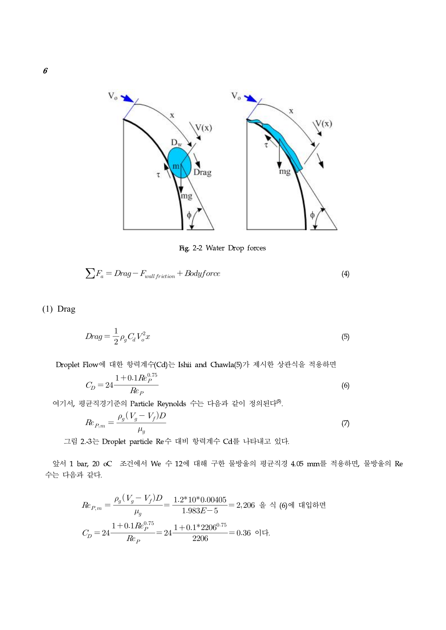

Fig. 2-2 Water Drop forces

$$
\sum F_a = Drag - F_{wall\, friction} + Bodyforce \tag{4}
$$

(1) Drag

$$
Drag = \frac{1}{2} \rho_g C_d V_o^2 x \tag{5}
$$

Droplet Flow에 대한 항력계수(Cd)는 Ishii and Chawla(5)가 제시한 상관식을 적용하면

$$
Drag = \frac{1}{2} \rho_g C_d V_o^2 x
$$
\n(5)  
\nFlow에 대한 하력계수(Cd)는 Ishii and Chawla(5)가 제시한 상관식을 점용하면  
\n
$$
C_D = 24 \frac{1 + 0.1 Re_P^{0.75}}{Re_P}
$$
\n(6)  
\n3군직경기준의 Particle Reynolds 수는 다른과 같은이 정의된다<sup>(5)</sup>.

여기서, 평균직경기준의 Particle Reynolds 수는 다음과 같이 정의된다<sup>(5)</sup>.

Flow에 대한 황력계수(Cd)는 Ishii and Chawla(5)가 제시한 상관식을 정용하면

\n
$$
C_D = 24 \frac{1 + 0.1 Re_p^{0.75}}{Re_P}
$$
\n(6)\n  
\n군직경기준의 Particle Reynolds 수는 다른과 같은이 정의된다<sup>(5)</sup>.  
\n
$$
Re_{P,m} = \frac{\rho_g (V_g - V_f)D}{\mu_g}
$$
\n(7)\n  
\n.-3는 Droplet particle Re수 대비 황력계수 Cd를 나타내고 있다.

그림 2.-3는 Droplet particle Re수 대비 항력계수 Cd를 나타내고 있다.

앞서 1 bar, 20 oC 조건에서 We 수 12에 대해 구한 물방울의 평균직경 4.05 mm를 적용하면, 물방울의 Re 수는 다음과 같다.

$$
Re_{P,m} = \frac{\mu_g}{\mu_g}
$$
\n2.3 $\div$  Droplet particle Re $\hat{\tau}$  Hlll §력계 $\hat{\tau}$  Cd를 HFlVl고 있다.\n  
\n $\text{ar, 20 oC } \leq$ 2 $\text{d}^{d} \leq$  Ml Vle  $\hat{\tau}$  12 $\text{q}^{d} \leq$  H $\hat{\tau}$   $\hat{\tau}$   $\frac{1}{2}$  J $\hat{\tau}$   $\frac{1}{2}$  J $\hat{\tau}$   $\frac{1}{2}$  J $\hat{\tau}$   $\frac{1}{2}$  J $\hat{\tau}$   $\frac{1}{2}$  J $\hat{\tau}$   $\frac{1}{2}$  J $\hat{\tau}$  J $\hat{\tau}$  J $\hat{\tau}$  J $\hat{\tau}$  J $\hat{\tau}$  J $\hat{\tau}$  J $\hat{\tau}$  J $\hat{\tau}$  J $\hat{\tau}$  J $\hat{\tau}$  J $\hat{\tau}$  J $\hat{\tau}$  J $\hat{\tau}$  J $\hat{\tau}$  J $\hat{\tau}$  J $\hat{\tau}$  J $\hat{\tau}$  J $\hat{\tau}$  J $\hat{\tau}$  J $\hat{\tau}$  J $\hat{\tau}$  J $\hat{\tau}$  J $\hat{\tau}$  J $\hat{\tau}$  J $\hat{\tau}$  J $\hat{\tau}$  J $\hat{\tau}$  J $\hat{\tau}$  J $\hat{\tau}$  J $\hat{\tau}$  J $\hat{\tau}$  J $\hat{\tau}$  J $\hat{\tau}$  J $\hat{\tau}$  J $\hat{\tau}$  J $\hat{\tau}$  J $\hat{\tau}$  J $\hat{\tau}$  J $\hat{\tau}$  J $\hat{\tau}$  J $\hat{\tau}$  J $\hat{\tau}$  J $\hat{\tau}$  J $\hat{\tau}$  J $\hat{\tau}$  J $\hat{\tau}$  J $\hat{\tau}$  J $\hat{\tau}$  J $\hat{\$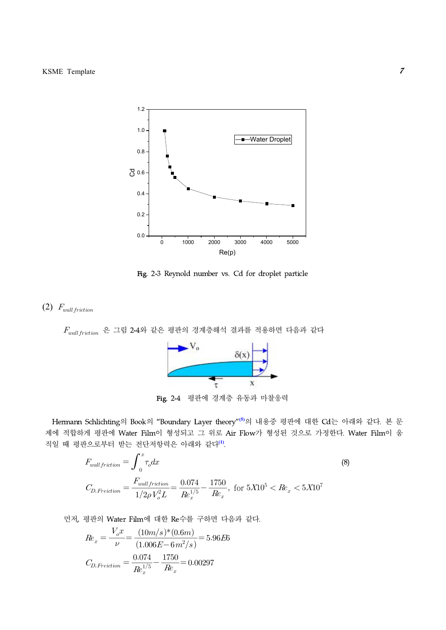

Fig. 2-3 Reynold number vs. Cd for droplet particle

## (2)  $F_{wall friction}$

 $F_{wall\, friction}$  은 그림 2-4와 같은 평판의 경계층해석 결과를 적용하면 다음과 같다  $\delta(x)$ X  $\tau$ Fig. 2-4 평판에 경계층 유동과 마찰응력

Hermann Schlichting의 Book의 "Boundary Layer theory"**(5)**의 내용중 평판에 대한 Cd는 아래와 같다. 본 문 제에 적합하게 평판에 Water Film이 형성되고 그 위로 Air Flow가 형성된 것으로 가정한다. Water Film이 움 직일 때 평판으로부터 받는 전단저항력은 아래와 같다**(1)**.

$$
F_{wall friction} = \int_{0}^{x} \tau_0 dx
$$
\n
$$
F_{wall friction} = \int_{0}^{x} \tau_0 dx
$$
\n
$$
F_{wall friction} = \int_{0}^{x} \tau_0 dx
$$
\n
$$
F_{wall friction} = \frac{F_{wall friction}}{1/2\rho V_o^2 L} = \frac{0.074}{Re_x} - \frac{1750}{Re_x}, \text{ for } 5X10^5 < Re_x < 5X10^7
$$
\n
$$
F_{d} = \frac{F_{wall friction}}{1/2\rho V_o^2 L} = \frac{0.074}{Re_x} - \frac{1750}{Re_x} = 0
$$
\n
$$
F_{d} = \frac{F_{rad}}{1/2} = \frac{(10m/s)*(0.6m)}{(1.006E - 6m^2/s)} = 5.96E6
$$
\n
$$
F_{d} = \frac{0.074}{e^2} - \frac{1750}{e^2} = 0.00297
$$
\n
$$
F_{d} = \frac{0.074}{e^2} - \frac{1750}{e^2} = 0.00297
$$

, 평관의 Water Film에 대한 Re수를 구하면 다음과 갈다.  
\n
$$
Re_x = \frac{V_o x}{\nu} = \frac{(10m/s)*(0.6m)}{(1.006E-6m^2/s)} = 5.96E6
$$
\n
$$
C_{D, Freiction} = \frac{0.074}{Re_x^{1/5}} - \frac{1750}{Re_x} = 0.00297
$$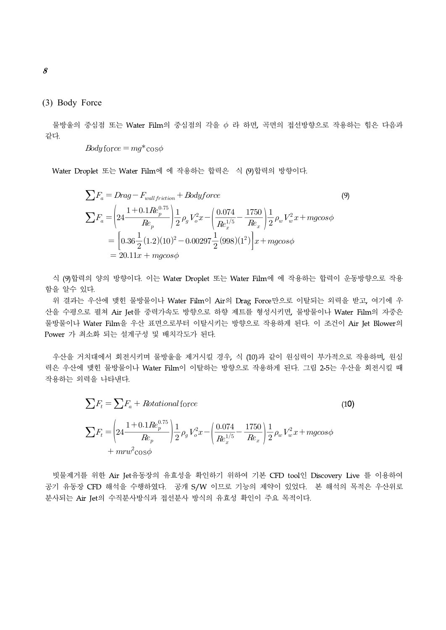#### (3) Body Force

물방울의 중심점 또는 Water Film의 중심점의 각을  $\phi$  라 하면, 곡면의 접선방향으로 작용하는 힘은 다음과 같다.

$$
Body force = mg \text{*} \cos \phi
$$

Water Droplet 또는 Water Film에 에 작용하는 합력은 식 (9)합력의 방향이다.

oplet 
$$
\mathcal{E} \in \mathcal{E}
$$
 Water Filmolol  $\mathcal{A}$  4 (9) $\mathcal{E}$  850–17.

\n
$$
\sum F_a = Drag - F_{wall friction} + Bodyforce
$$
\n
$$
\sum F_a = \left(24 \frac{1 + 0.1 Re_p^{0.75}}{Re_p}\right) \frac{1}{2} \rho_g V_o^2 x - \left(\frac{0.074}{Re_x^{1/5}} - \frac{1750}{Re_x}\right) \frac{1}{2} \rho_w V_w^2 x + mgcos\phi
$$
\n
$$
= \left[0.36 \frac{1}{2} (1.2)(10)^2 - 0.00297 \frac{1}{2} (998)(1^2)\right] x + mgcos\phi
$$
\n
$$
= 20.11x + mgcos\phi
$$

식 (9)합력의 양의 방향이다. 이는 Water Droplet 또는 Water Film에 에 작용하는 합력이 운동방향으로 작용 함을 알수 있다.

위 결과는 우산에 맺힌 물방물이나 Water Film이 Air의 Drag Force만으로 이탈되는 외력을 받고, 여기에 우 산을 수평으로 펼쳐 Air Jet를 중력가속도 방향으로 하향 제트를 형성시키면, 물방물이나 Water Film의 자중은 물방물이나 Water Film을 우산 표면으로부터 이탈시키는 방향으로 작용하게 된다. 이 조건이 Air Jet Blower의 Power 가 최소화 되는 설계구성 및 배치각도가 된다.

우산을 거치대에서 회전시키며 물방울을 제거시킬 경우, 식 (10)과 같이 원심력이 부가적으로 작용하며, 원심 력은 우산에 맺힌 물방물이나 Water Film이 이탈하는 방향으로 작용하게 된다. 그림 2-5는 우산을 회전시킬 때 작용하는 외력을 나타낸다.

/}\n12.5는 
$$
¥방물이나 Water Film이 이달하는 방양으로 작용하지ِ 둌다. 그립 2-5는 우산을 흘\n력을 나타내다.\n
$$
\sum F_t = \sum F_a + Rotational force
$$
\n
$$
\sum F_t = \left(24 \frac{1 + 0.1 Re_p^{0.75}}{Re_p}\right) \frac{1}{2} \rho_g V_o^2 x - \left(\frac{0.074}{Re_x^{1/5}} - \frac{1750}{Re_x}\right) \frac{1}{2} \rho_w V_w^2 x + mgcos\phi + mrw^2 cos\phi
$$
$$

빗물제거를 위한 Air Jet유동장의 유효성을 확인하기 위하여 기본 CFD tool인 Discovery Live 를 이용하여 공기 유동장 CFD 해석을 수행하였다. 공개 S/W 이므로 기능의 제약이 있었다. 본 해석의 목적은 우산위로 분사되는 Air Jet의 수직분사방식과 접선분사 방식의 유효성 확인이 주요 목적이다.

8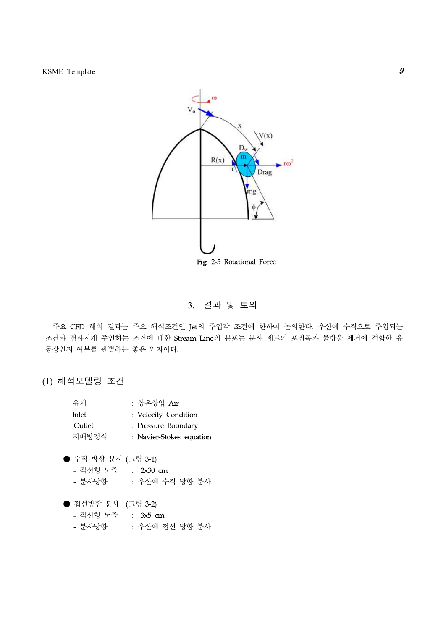

### 3. 결과 및 토의

주요 CFD 해석 결과는 주요 해석조건인 Jet의 주입각 조건에 한하여 논의한다. 우산에 수직으로 주입되는 조건과 경사지게 주인하는 조건에 대한 Stream Line의 분포는 분사 제트의 포짐폭과 물방울 제거에 적합한 유 동장인지 여부를 판별하는 좋은 인자이다.

(1) 해석모델링 조건

| 유체     | : 상온상압 Air               |
|--------|--------------------------|
| Inlet  | : Velocity Condition     |
| Outlet | : Pressure Boundary      |
| 지배방정식  | : Navier-Stokes equation |

● 수직 방향 분사 (그림 3-1)

- 직선형 노즐 : 2x30 cm
- 분사방향 : 우산에 수직 방향 분사

● 접선방향 분사 (그림 3-2)

- 직선형 노즐 : 3x5 cm
- 분사방향 : 우산에 접선 방향 분사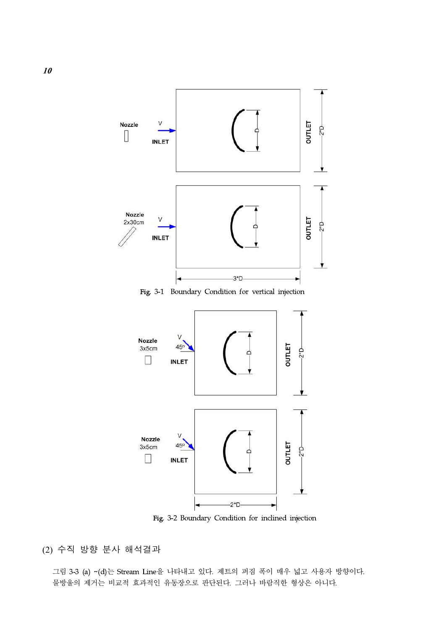

Fig. 3-1 Boundary Condition for vertical injection



Fig. 3-2 Boundary Condition for inclined injection

(2) 수직 방향 분사 해석결과

그림 3-3 (a) ~(d)는 Stream Line을 나타내고 있다. 제트의 퍼짐 폭이 매우 넓고 사용자 방향이다. 물방울의 제거는 비교적 효과적인 유동장으로 판단된다. 그러나 바람직한 형상은 아니다.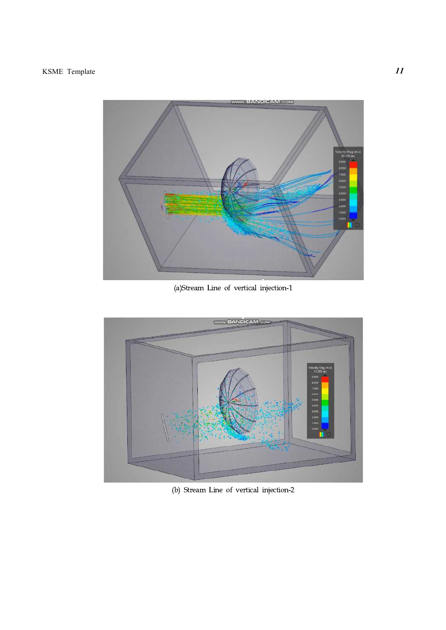

(a)Stream Line of vertical injection-1



(b) Stream Line of vertical injection-2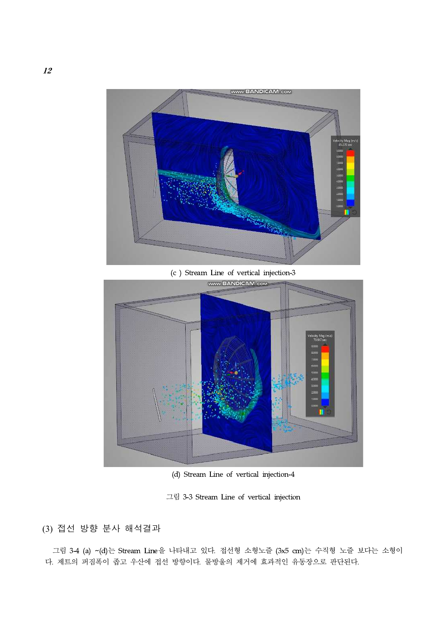

(c ) Stream Line of vertical injection-3



(d) Stream Line of vertical injection-4

그림 3-3 Stream Line of vertical injection

(3) 접선 방향 분사 해석결과

그림 3-4 (a) ~(d)는 Stream Line을 나타내고 있다. 접선형 소형노즐 (3x5 cm)는 수직형 노즐 보다는 소형이 다. 제트의 퍼짐폭이 좁고 우산에 접선 방향이다. 물방울의 제거에 효과적인 유동장으로 판단된다.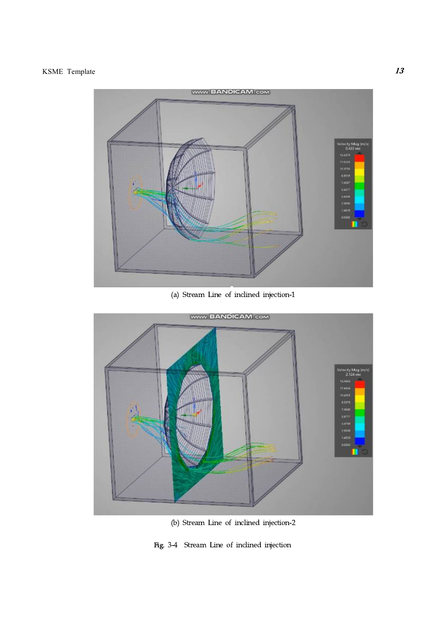

(a) Stream Line of inclined injection-1



(b) Stream Line of inclined injection-2

Fig. 3-4 Stream Line of inclined injection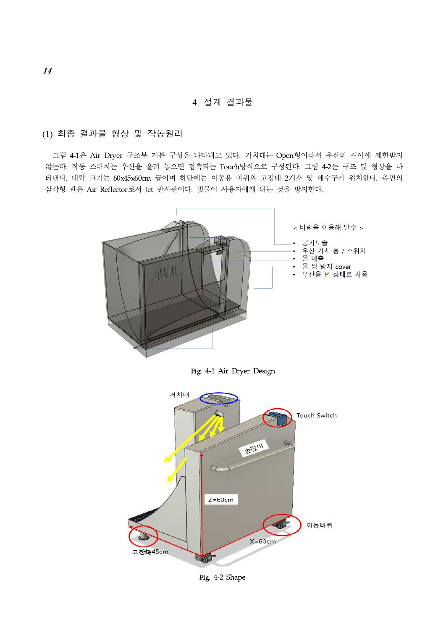4. 설계 결과물

(1) 최종 결과물 형상 및 작동원리

그림 4-1은 Air Dryer 구조부 기본 구성을 나타내고 있다. 거치대는 Open형이라서 우산의 길이에 제한받지 않는다. 작동 스위치는 우산을 올려 놓으면 접촉되는 Touch방식으로 구성된다. 그림 4-2는 구조 및 형상을 나 타낸다. 대략 크기는 60x45x60cm 급이며 하단에는 이동용 바퀴와 고정대 2개소 및 배수구가 위치한다. 측면의 삼각형 판은 Air Reflector로서 Jet 반사판이다. 빗물이 사용자에게 튀는 것을 방지한다.



Fig. 4-1 Air Dryer Design

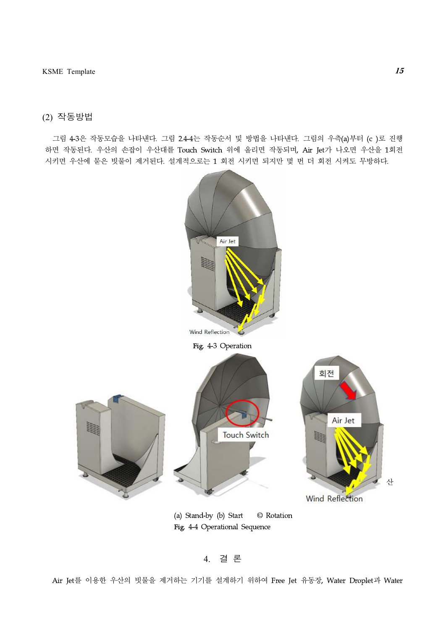## (2) 작동방법

그림 4-3은 작동모습을 나타낸다. 그림 2.4-4는 작동순서 및 방법을 나타낸다. 그림의 우측(a)부터 (c )로 진행 하면 작동된다. 우산의 손잡이 우산대를 Touch Switch 위에 올리면 작동되며, Air Jet가 나오면 우산을 1회전 시키면 우산에 묻은 빗물이 제거된다. 설계적으로는 1 회전 시키면 되지만 몇 번 더 회전 시켜도 무방하다.



(a) Stand-by (b) Start © Rotation Fig. 4-4 Operational Sequence

#### 4. 결 론

Air Jet를 이용한 우산의 빗물을 제거하는 기기를 설계하기 위하여 Free Jet 유동장, Water Droplet과 Water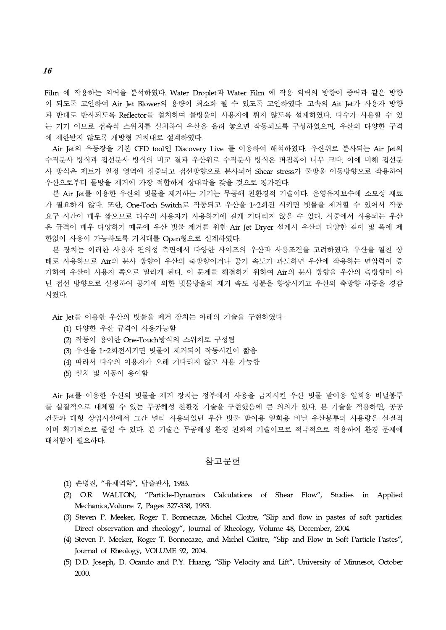Film 에 작용하는 외력을 분석하였다. Water Droplet과 Water Film 에 작용 외력의 방향이 중력과 같은 방향 이 되도록 고안하여 Air Jet Blower의 용량이 최소화 될 수 있도록 고안하였다. 고속의 Ait Jet가 사용자 방향 과 반대로 반사되도록 Reflector를 설치하여 물방울이 사용자에 튀지 않도록 설계하였다. 다수가 사용할 수 있 는 기기 이므로 접촉식 스위치를 설치하여 우산을 올려 놓으면 작동되도록 구성하였으며, 우산의 다양한 구격 에 제한받지 않도록 개방형 거치대로 설계하였다.

Air Jet의 유동장을 기본 CFD tool인 Discovery Live 를 이용하여 해석하였다. 우산위로 분사되는 Air Jet의 수직분사 방식과 접선분사 방식의 비교 결과 우산위로 수직분사 방식은 퍼짐폭이 너무 크다. 이에 비해 접선분 사 방식은 제트가 일정 영역에 집중되고 접선방향으로 분사되어 Shear stress가 물방울 이동방향으로 작용하여 우산으로부터 물방울 제거에 가장 적합하게 상대각을 갖을 것으로 평가된다.

본 Air Jet를 이용한 우산의 빗물을 제거하는 기기는 무공해 친환경적 기술이다. 운영유지보수에 소모성 재료 가 필요하지 않다. 또한, One-Toch Switch로 작동되고 우산을 1~2회전 시키면 빗물을 제거할 수 있어서 작동 요구 시간이 매우 짧으므로 다수의 사용자가 사용하기에 길게 기다리지 않을 수 있다. 시중에서 사용되는 우산 은 규격이 매우 다양하기 때문에 우산 빗물 제거를 위한 Air Jet Dryer 설계시 우산의 다양한 길이 및 폭에 제 한없이 사용이 가능하도록 거치대를 Open형으로 설계하였다.

본 장치는 이러한 사용자 편의성 측면에서 다양한 사이즈의 우산과 사용조건을 고려하였다. 우산을 펼친 상 태로 사용하므로 Air의 분사 방향이 우산의 축방향이거나 공기 속도가 과도하면 우산에 작용하는 면압력이 증 가하여 우산이 사용자 쪽으로 밀리게 된다. 이 문제를 해결하기 위하여 Air의 분사 방향을 우산의 축방향이 아 닌 접선 방향으로 설정하여 공기에 의한 빗물방울의 제거 속도 성분을 향상시키고 우산의 축방향 하중을 경감 시켰다.

Air Jet를 이용한 우산의 빗물을 제거 장치는 아래의 기술을 구현하였다

- (1) 다양한 우산 규격이 사용가능함
- (2) 작동이 용이한 One-Touch방식의 스위치로 구성됨
- (3) 우산을 1~2회전시키면 빗물이 제거되어 작동시간이 짧음
- (4) 따라서 다수의 이용자가 오래 기다리지 않고 사용 가능함
- (5) 설치 및 이동이 용이함

Air Jet를 이용한 우산의 빗물을 제거 장치는 정부에서 사용을 금지시킨 우산 빗물 받이용 일회용 비닐봉투 를 실질적으로 대체할 수 있는 무공해성 친환경 기술을 구현했음에 큰 의의가 있다. 본 기술을 적용하면, 공공 건물과 대형 상업시설에서 그간 널리 사용되었던 우산 빗물 받이용 일회용 비닐 우산봉투의 사용량을 실질적 이며 획기적으로 줄일 수 있다. 본 기술은 무공해성 환경 친화적 기술이므로 적극적으로 적용하여 환경 문제에 대처함이 필요하다.

#### 참고문헌

- (1) 손병진, "유체역학", 탑출판사, 1983.
- (2) O.R. WALTON, "Particle-Dynamics Calculations of Shear Flow", Studies in Applied Mechanics,Volume 7, Pages 327-338, 1983.
- (3) Steven P. Meeker, Roger T. Bonnecaze, Michel Cloitre, "Slip and flow in pastes of soft particles: Direct observation and rheology", Journal of Rheology, Volume 48, December, 2004.
- (4) Steven P. Meeker, Roger T. Bonnecaze, and Michel Cloitre, "Slip and Flow in Soft Particle Pastes", Journal of Rheology, VOLUME 92, 2004.
- (5) D.D. Joseph, D. Ocando and P.Y. Huang, "Slip Velocity and Lift", University of Minnesot, October 2000.